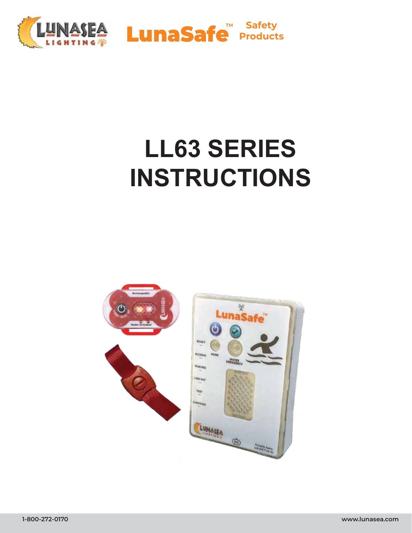

# **LL63 SERIES INSTRUCTIONS**